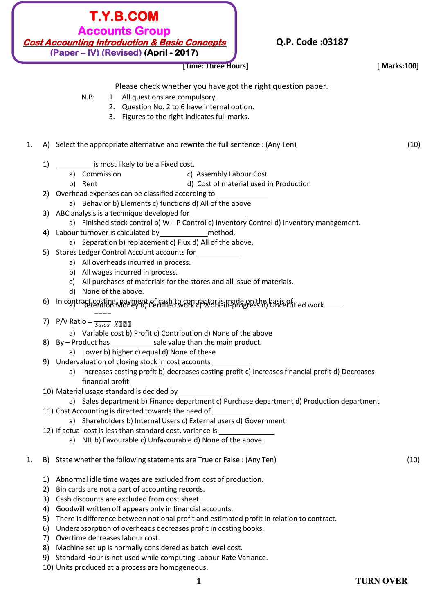

# **Q.P. Code :03187**

|    |    | [Time: Three Hours]                                                                                                                                      | [ Marks:100] |
|----|----|----------------------------------------------------------------------------------------------------------------------------------------------------------|--------------|
|    |    | Please check whether you have got the right question paper.                                                                                              |              |
|    |    | $N.B$ :<br>1. All questions are compulsory.                                                                                                              |              |
|    |    | 2. Question No. 2 to 6 have internal option.                                                                                                             |              |
|    |    | 3. Figures to the right indicates full marks.                                                                                                            |              |
|    |    |                                                                                                                                                          |              |
| 1. |    | A) Select the appropriate alternative and rewrite the full sentence : (Any Ten)                                                                          | (10)         |
|    | 1) | is most likely to be a Fixed cost.                                                                                                                       |              |
|    |    | a) Commission<br>c) Assembly Labour Cost                                                                                                                 |              |
|    |    | d) Cost of material used in Production<br>b) Rent                                                                                                        |              |
|    |    | 2) Overhead expenses can be classified according to ______________                                                                                       |              |
|    |    | a) Behavior b) Elements c) functions d) All of the above                                                                                                 |              |
|    |    |                                                                                                                                                          |              |
|    | 4) | a) Finished stock control b) W-I-P Control c) Inventory Control d) Inventory management.<br>Labour turnover is calculated by<br>method.                  |              |
|    |    | a) Separation b) replacement c) Flux d) All of the above.                                                                                                |              |
|    |    | 5) Stores Ledger Control Account accounts for ___________                                                                                                |              |
|    |    | a) All overheads incurred in process.                                                                                                                    |              |
|    |    | b) All wages incurred in process.                                                                                                                        |              |
|    |    | c) All purchases of materials for the stores and all issue of materials.                                                                                 |              |
|    |    | d) None of the above.                                                                                                                                    |              |
|    |    | 6) In contract costing payment of cash to contractor is made on the basis of Retention Money b) Certified work contraction progress d) Uncertified work. |              |
|    |    | 7) P/V Ratio = $\frac{1}{Sales}$ XDDD                                                                                                                    |              |
|    |    | a) Variable cost b) Profit c) Contribution d) None of the above                                                                                          |              |
|    |    |                                                                                                                                                          |              |
|    |    | a) Lower b) higher c) equal d) None of these                                                                                                             |              |
|    |    | 9) Undervaluation of closing stock in cost accounts                                                                                                      |              |
|    |    | a) Increases costing profit b) decreases costing profit c) Increases financial profit d) Decreases<br>financial profit                                   |              |
|    |    | 10) Material usage standard is decided by _                                                                                                              |              |
|    |    | a) Sales department b) Finance department c) Purchase department d) Production department                                                                |              |
|    |    | 11) Cost Accounting is directed towards the need of                                                                                                      |              |
|    |    | a) Shareholders b) Internal Users c) External users d) Government                                                                                        |              |
|    |    | 12) If actual cost is less than standard cost, variance is _____________________                                                                         |              |
|    |    | a) NIL b) Favourable c) Unfavourable d) None of the above.                                                                                               |              |
| 1. |    | B) State whether the following statements are True or False : (Any Ten)                                                                                  | (10)         |
|    | 1) | Abnormal idle time wages are excluded from cost of production.                                                                                           |              |
|    | 2) | Bin cards are not a part of accounting records.                                                                                                          |              |
|    |    | 3) Cash discounts are excluded from cost sheet.                                                                                                          |              |
|    | 4) | Goodwill written off appears only in financial accounts.                                                                                                 |              |
|    | 5) | There is difference between notional profit and estimated profit in relation to contract.                                                                |              |
|    | 6) | Underabsorption of overheads decreases profit in costing books.                                                                                          |              |
|    | 7) | Overtime decreases labour cost.                                                                                                                          |              |
|    | 8) | Machine set up is normally considered as batch level cost.                                                                                               |              |
|    | 9) | Standard Hour is not used while computing Labour Rate Variance.<br>10) Units produced at a process are homogeneous.                                      |              |
|    |    |                                                                                                                                                          |              |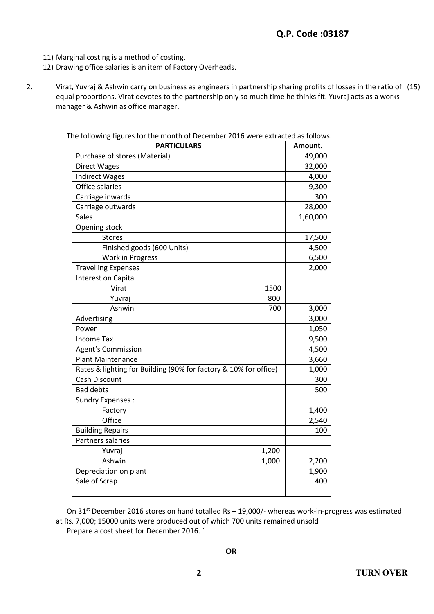- 11) Marginal costing is a method of costing.
- 12) Drawing office salaries is an item of Factory Overheads.
- 2. Virat, Yuvraj & Ashwin carry on business as engineers in partnership sharing profits of losses in the ratio of (15) equal proportions. Virat devotes to the partnership only so much time he thinks fit. Yuvraj acts as a works manager & Ashwin as office manager.

| <b>PARTICULARS</b>                                               | Amount.  |
|------------------------------------------------------------------|----------|
| Purchase of stores (Material)                                    | 49,000   |
| <b>Direct Wages</b>                                              | 32,000   |
| <b>Indirect Wages</b>                                            | 4,000    |
| Office salaries                                                  | 9,300    |
| Carriage inwards                                                 | 300      |
| Carriage outwards                                                | 28,000   |
| <b>Sales</b>                                                     | 1,60,000 |
| Opening stock                                                    |          |
| <b>Stores</b>                                                    | 17,500   |
| Finished goods (600 Units)                                       | 4,500    |
| Work in Progress                                                 | 6,500    |
| <b>Travelling Expenses</b>                                       | 2,000    |
| Interest on Capital                                              |          |
| Virat<br>1500                                                    |          |
| 800<br>Yuvraj                                                    |          |
| Ashwin<br>700                                                    | 3,000    |
| Advertising                                                      | 3,000    |
| Power                                                            | 1,050    |
| <b>Income Tax</b>                                                | 9,500    |
| <b>Agent's Commission</b>                                        | 4,500    |
| <b>Plant Maintenance</b>                                         | 3,660    |
| Rates & lighting for Building (90% for factory & 10% for office) | 1,000    |
| Cash Discount                                                    | 300      |
| <b>Bad debts</b>                                                 | 500      |
| <b>Sundry Expenses:</b>                                          |          |
| Factory                                                          | 1,400    |
| Office                                                           | 2,540    |
| <b>Building Repairs</b>                                          | 100      |
| Partners salaries                                                |          |
| Yuvraj<br>1,200                                                  |          |
| Ashwin<br>1,000                                                  | 2,200    |
| Depreciation on plant                                            | 1,900    |
| Sale of Scrap                                                    | 400      |
|                                                                  |          |

The following figures for the month of December 2016 were extracted as follows.

On  $31^{st}$  December 2016 stores on hand totalled Rs – 19,000/- whereas work-in-progress was estimated at Rs. 7,000; 15000 units were produced out of which 700 units remained unsold Prepare a cost sheet for December 2016. `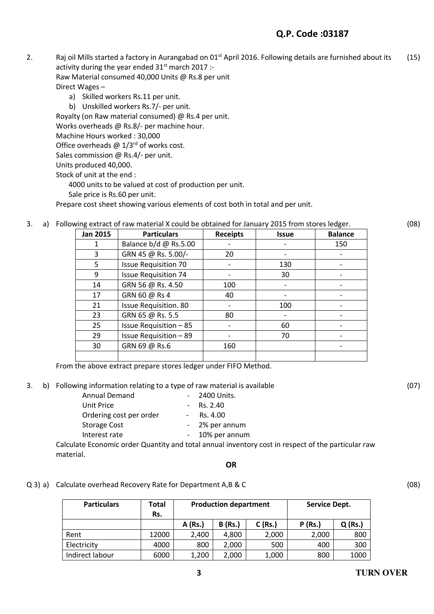# **Q.P. Code :03187**

2. Raj oil Mills started a factory in Aurangabad on  $01<sup>st</sup>$  April 2016. Following details are furnished about its activity during the year ended  $31<sup>st</sup>$  march 2017 :-Raw Material consumed 40,000 Units @ Rs.8 per unit (15)

Direct Wages –

- a) Skilled workers Rs.11 per unit.
- b) Unskilled workers Rs.7/- per unit.

Royalty (on Raw material consumed) @ Rs.4 per unit.

Works overheads @ Rs.8/- per machine hour.

Machine Hours worked : 30,000

Office overheads  $\omega$  1/3<sup>rd</sup> of works cost.

Sales commission @ Rs.4/- per unit.

Units produced 40,000.

Stock of unit at the end :

4000 units to be valued at cost of production per unit.

Sale price is Rs.60 per unit.

Prepare cost sheet showing various elements of cost both in total and per unit.

3. a) Following extract of raw material X could be obtained for January 2015 from stores ledger.

Jan 2015 | Particulars | Receipts | Issue | Balance 1 Balance b/d @ Rs.5.00 - 1 - 150 3  $GRN 45 @ Rs. 5.00/-\n20$  20 -  $\longrightarrow$ 5 | Issue Requisition 70 | - | 130 | -9 Issue Requisition 74 - 30 - 14 | GRN 56 @ Rs. 4.50 | 100 | - | -17 | GRN 60 @ Rs 4  $\vert$  40 21 Issue Requisition. 80 - 100 - 23  $GRN 65 @ Rs. 5.5 80$  - -  $\sim$ 25 | Issue Requisition – 85 |  $\blacksquare$  -  $\blacksquare$  60 |  $\blacksquare$ 29 Issue Requisition – 89 - 70 -  $30$  GRN 69 @ Rs.6 160 - 160 - 160 - 160

From the above extract prepare stores ledger under FIFO Method.

3. b) Following information relating to a type of raw material is available

| <b>Annual Demand</b>    | - 2400 Units.  |
|-------------------------|----------------|
| Unit Price              | $-Rs. 2.40$    |
| Ordering cost per order | Rs. 4.00       |
| <b>Storage Cost</b>     | - 2% per annum |
| Interest rate           | 10% per annum  |
|                         |                |

Calculate Economic order Quantity and total annual inventory cost in respect of the particular raw material.

### **OR**

### Q 3) a) Calculate overhead Recovery Rate for Department A,B & C

| <b>Particulars</b> | Total<br>Rs. | <b>Production department</b> |                |           | <b>Service Dept.</b> |           |
|--------------------|--------------|------------------------------|----------------|-----------|----------------------|-----------|
|                    |              | A (Rs.)                      | <b>B</b> (Rs.) | $C$ (Rs.) | P(Rs.)               | $Q$ (Rs.) |
| Rent               | 12000        | 2,400                        | 4,800          | 2,000     | 2,000                | 800       |
| Electricity        | 4000         | 800                          | 2,000          | 500       | 400                  | 300       |
| Indirect labour    | 6000         | 1,200                        | 2,000          | 1,000     | 800                  | 1000      |

(07)

(08)

(08)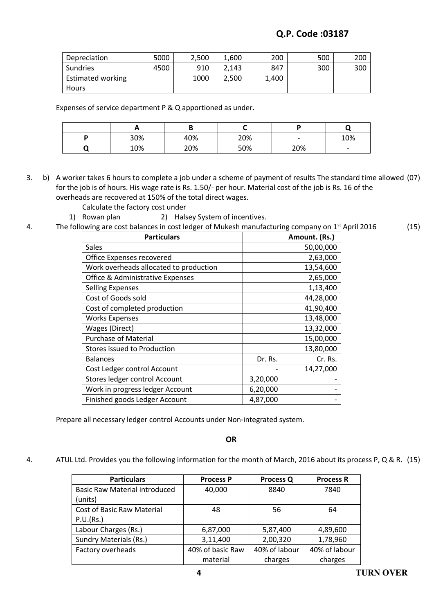| Depreciation             | 5000 | 2.500 | 1.600 | 200   | 500 | 200 |
|--------------------------|------|-------|-------|-------|-----|-----|
| Sundries                 | 4500 | 910   | 2.143 | 847   | 300 | 300 |
| <b>Estimated working</b> |      | 1000  | 2.500 | 1.400 |     |     |
| <b>Hours</b>             |      |       |       |       |     |     |

Expenses of service department P & Q apportioned as under.

| <u>_</u> |     |     |                          |                          |
|----------|-----|-----|--------------------------|--------------------------|
| 30%      | 40% | 20% | $\overline{\phantom{0}}$ | 10%                      |
| 10%      | 20% | 50% | 20%                      | $\overline{\phantom{0}}$ |

3. b) A worker takes 6 hours to complete a job under a scheme of payment of results The standard time allowed (07) for the job is of hours. His wage rate is Rs. 1.50/- per hour. Material cost of the job is Rs. 16 of the overheads are recovered at 150% of the total direct wages.

- Calculate the factory cost under
- 1) Rowan plan 2) Halsey System of incentives.

#### 4. The following are cost balances in cost ledger of Mukesh manufacturing company on 1<sup>st</sup> April 2016 (15)

| <b>Particulars</b>                     |          | Amount. (Rs.) |
|----------------------------------------|----------|---------------|
| Sales                                  |          | 50,00,000     |
| Office Expenses recovered              |          | 2,63,000      |
| Work overheads allocated to production |          | 13,54,600     |
| Office & Administrative Expenses       |          | 2,65,000      |
| <b>Selling Expenses</b>                |          | 1,13,400      |
| Cost of Goods sold                     |          | 44,28,000     |
| Cost of completed production           |          | 41,90,400     |
| <b>Works Expenses</b>                  |          | 13,48,000     |
| Wages (Direct)                         |          | 13,32,000     |
| <b>Purchase of Material</b>            |          | 15,00,000     |
| <b>Stores issued to Production</b>     |          | 13,80,000     |
| <b>Balances</b>                        | Dr. Rs.  | Cr. Rs.       |
| Cost Ledger control Account            |          | 14,27,000     |
| Stores ledger control Account          | 3,20,000 |               |
| Work in progress ledger Account        | 6,20,000 |               |
| Finished goods Ledger Account          | 4,87,000 |               |

Prepare all necessary ledger control Accounts under Non-integrated system.

**OR**

4. ATUL Ltd. Provides you the following information for the month of March, 2016 about its process P, Q & R. (15)

| <b>Particulars</b>                   | <b>Process P</b> | <b>Process Q</b> | <b>Process R</b> |
|--------------------------------------|------------------|------------------|------------------|
| <b>Basic Raw Material introduced</b> | 40,000           | 8840             | 7840             |
| (units)                              |                  |                  |                  |
| <b>Cost of Basic Raw Material</b>    | 48               | 56               | 64               |
| P.U.(Rs.)                            |                  |                  |                  |
| Labour Charges (Rs.)                 | 6,87,000         | 5,87,400         | 4,89,600         |
| <b>Sundry Materials (Rs.)</b>        | 3,11,400         | 2,00,320         | 1,78,960         |
| Factory overheads                    | 40% of basic Raw | 40% of labour    | 40% of labour    |
|                                      | material         | charges          | charges          |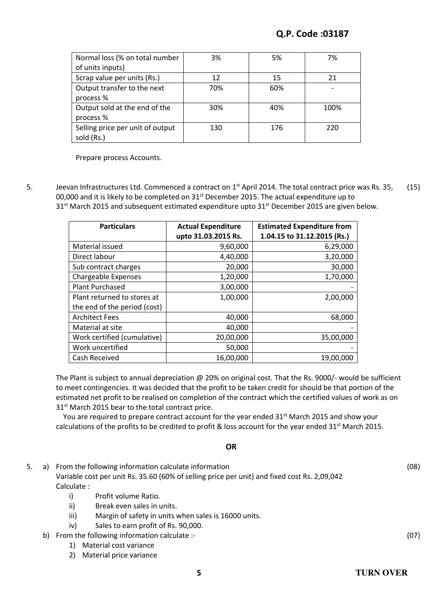| Normal loss (% on total number   | 3%  | 5%  | 7%   |
|----------------------------------|-----|-----|------|
| of units inputs)                 |     |     |      |
| Scrap value per units (Rs.)      | 12  | 15  | 21   |
| Output transfer to the next      | 70% | 60% |      |
| process %                        |     |     |      |
| Output sold at the end of the    | 30% | 40% | 100% |
| process %                        |     |     |      |
| Selling price per unit of output | 130 | 176 | 220  |
| sold (Rs.)                       |     |     |      |

Prepare process Accounts.

5. Jeevan Infrastructures Ltd. Commenced a contract on 1<sup>st</sup> April 2014. The total contract price was Rs. 35, 00,000 and it is likely to be completed on 31<sup>st</sup> December 2015. The actual expenditure up to  $31<sup>st</sup>$  March 2015 and subsequent estimated expenditure upto  $31<sup>st</sup>$  December 2015 are given below. (15)

| <b>Particulars</b>           | <b>Actual Expenditure</b> | <b>Estimated Expenditure from</b> |
|------------------------------|---------------------------|-----------------------------------|
|                              | upto 31.03.2015 Rs.       | 1.04.15 to 31.12.2015 (Rs.)       |
| Material issued              | 9,60,000                  | 6,29,000                          |
| Direct labour                | 4,40,000                  | 3,20,000                          |
| Sub contract charges         | 20,000                    | 30,000                            |
| <b>Chargeable Expenses</b>   | 1,20,000                  | 1,70,000                          |
| <b>Plant Purchased</b>       | 3,00,000                  |                                   |
| Plant returned to stores at  | 1,00,000                  | 2,00,000                          |
| the end of the period (cost) |                           |                                   |
| <b>Architect Fees</b>        | 40,000                    | 68,000                            |
| Material at site             | 40,000                    |                                   |
| Work certified (cumulative)  | 20,00,000                 | 35,00,000                         |
| Work uncertified             | 50,000                    |                                   |
| Cash Received                | 16,00,000                 | 19,00,000                         |

The Plant is subject to annual depreciation @ 20% on original cost. That the Rs. 9000/- would be sufficient to meet contingencies. It was decided that the profit to be taken credit for should be that portion of the estimated net profit to be realised on completion of the contract which the certified values of work as on 31<sup>st</sup> March 2015 bear to the total contract price.

You are required to prepare contract account for the year ended 31<sup>st</sup> March 2015 and show your calculations of the profits to be credited to profit & loss account for the year ended 31<sup>st</sup> March 2015.

## **OR**

5. a) From the following information calculate information

Variable cost per unit Rs. 35.60 (60% of selling price per unit) and fixed cost Rs. 2,09,042 Calculate :

- i) Profit volume Ratio. ii) Break even sales in units.
- iii) Margin of safety in units when sales is 16000 units.
- iv) Sales to earn profit of Rs. 90,000.
- b) From the following information calculate :-
	- 1) Material cost variance
	- 2) Material price variance

(08)

(07)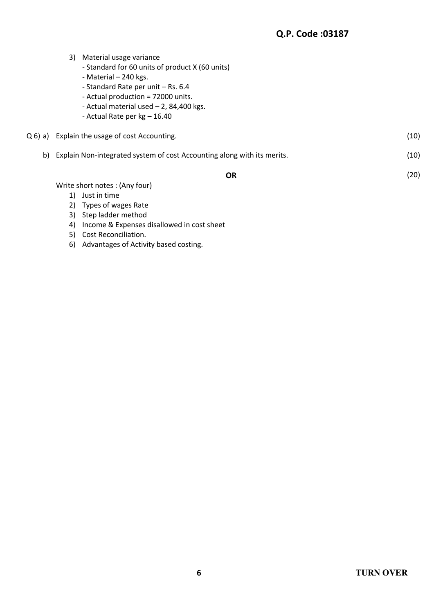|    | 3) | Material usage variance                                                 |      |
|----|----|-------------------------------------------------------------------------|------|
|    |    | - Standard for 60 units of product X (60 units)                         |      |
|    |    | - Material - 240 kgs.                                                   |      |
|    |    | - Standard Rate per unit - Rs. 6.4                                      |      |
|    |    | - Actual production = 72000 units.                                      |      |
|    |    | - Actual material used $-2$ , 84,400 kgs.                               |      |
|    |    | - Actual Rate per $kg - 16.40$                                          |      |
|    |    | Q 6) a) Explain the usage of cost Accounting.                           | (10) |
| b) |    | Explain Non-integrated system of cost Accounting along with its merits. | (10) |
|    |    | <b>OR</b>                                                               | (20) |
|    |    | Write short notes: (Any four)                                           |      |
|    | 1) | Just in time                                                            |      |
|    |    | 2) Types of wages Rate                                                  |      |

- 3) Step ladder method
- 4) Income & Expenses disallowed in cost sheet
- 5) Cost Reconciliation.
- 6) Advantages of Activity based costing.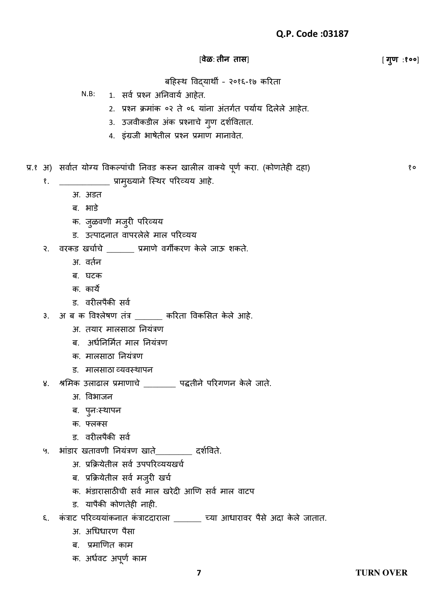## [**वेळ**: **तीन तास**] [ **गण ु** :**१००**]

बहिस्थ विद्याथी – २०१६-१७ करिता

- $N.B:$  1. सर्व प्रश्न अनिवार्य आहेत.
	- 2. प्रश्न क्रमांक ०२ ते ०६ यांना अंतर्गत पर्याय दिलेले आहेत.
	- 3. उजवीकडील अंक प्रश्नाचे ग्ण दर्शवितात.
	- 4. इंग्रजी भाषेतील प्रश्न प्रमाण मानावेत.
- प्र.१ अ) सर्वात योग्य विकल्पाची निवड करून खालील वाक्ये पूर्ण करा. (कोणतेही दहा)
	- १. \_\_\_\_\_\_\_\_\_\_\_\_ प्रामुख्याने स्थिर परिव्यय आहे.
		- अ. अडत
		- ब. भाड़े
		- क. जुळवणी मजुरी परिव्यय
		- ड. उत्पादनात वापरलेले माल परिव्यय
	- २. वरकड खर्चाचे \_\_\_\_\_\_ प्रमाणे वर्गीकरण केले जाऊ शकते.
		- अ. वर्तन
		- ब. घटक
		- क. काये
		- ड. वरीलपैकी सर्व
	- ३. अ ब क विश्लȯषण तांत्र \_\_\_\_\_\_ करिता विकससत कȯ लȯ आिȯ.
		- अ. तयार मालसाठा नियंत्रण
		- ब. अर्धनिर्मित माल नियंत्रण
		- क. मालसाठा नियंत्रण
		- ड. मालसाठा व्यिस्थापन
	- ४. श्रमिक उलाढाल प्रमाणाचे \_\_\_\_\_\_\_\_ पद्धतीने परिगणन केले जाते.
		- अ. विभाजन
		- ब. पुनःस्थापन
		- क. फ्लक्स
		- ड. वरीलपैकी सर्व
	- ५. भांडार खतावणी नियंत्रण खाते\_\_\_\_\_\_\_\_ दर्शविते.
		- अ. प्रक्रियेतील सर्व उपपरिव्ययखर्च
		- ब. प्रक्रियेतील सर्व मजुरी खर्च
		- क. भंडारासाठीची सर्व माल खरेदी आणि सर्व माल वाटप
		- ड. यापैकी कोणतेही नाही.
	- ६. कंत्राट परिव्ययांकनात कंत्राटदाराला \_\_\_\_\_\_ च्या आधारावर पैसे अदा केले जातात.
		- अ. अधिधारण पैसा
		- ब. प्रमाणणत काम
		- क. अर्धवट अपूर्ण काम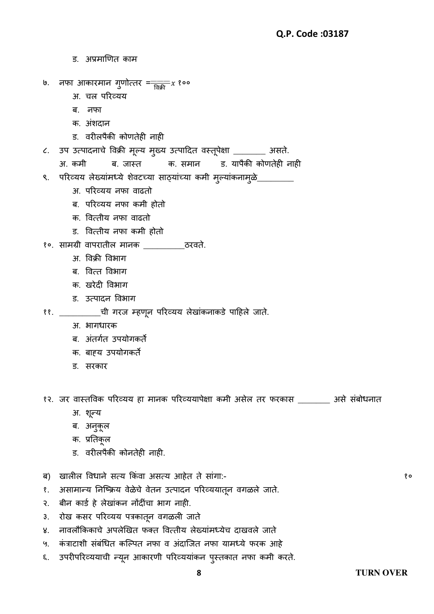ड. अप्रमाणणत काम ७. नफा आकािमान र्णȪत्ति = ु \_\_\_\_\_\_\_\_\_ विक्री १०० अ. चल परिव्यय ब. नफा क. अंशदान ड. वरीलपैकी कोणतेही नाही ८. उप उत्पादनाचे विक्री मूल्य मुख्य उत्पादित वस्तूपेक्षा \_\_\_\_\_\_\_ असते. अ. कमी ब. जास्त क. समान ड. यापैकी कोणतेही नाही ९. परिव्यय लेख्यांमध्ये शेवटच्या साठ्यांच्या कमी मुल्यांकनामुळे\_ अ. परिव्यय नफा वाढतो ब. परिव्यय नफा कमी होतो क. वित्तीय नफा वाढतो ड. वित्तीय नफा कमी होतो १०. सामग्री वापरातील मानक \_\_\_\_\_\_\_\_\_\_\_\_ठरवते. अ. विक्री विभार् ब. वित्त विभार् क. खरेटी विभाग ड. उत्पादन विभाग ११. \_\_\_\_\_\_\_\_\_\_\_ची गरज म्हणून परिव्यय लेखांकनाकडे पाहिले जाते. अ. भागधारक ब. अंतर्गत उपयोगकर्ते क. बाह्य उपयोगकर्ते ड. सरकार १२. जर वास्तविक परिव्यय हा मानक परिव्ययापेक्षा कमी असेल तर फरकास \_\_\_\_\_\_\_ असे संबोधनात अ. र्न्यू ब. अनकुूल क. प्रनतकूल ड. वरीलपैकी कोनतेही नाही. ब) खालील विधाने सत्य किंवा असत्य आहेत ते सागा:-

- १. असामान्य निष्क्रिय वेळेचे वेतन उत्पादन परिव्ययातून वगळले जाते.
- २. बीन कार्ड हे लेखांकन नोंदींचा भाग नाही.
- ३. रोख कसर परिव्यय पत्रकातून वगळली जाते
- ४. नावलौकिकाचे अपलेखित फक्त वित्तीय लेख्यामध्येच दाखवले जाते
- ५. कंत्राटाशी संबंधित कल्पित नफा व अंदाजित नफा यामध्ये फरक आहे
- ६. उपरीपरिव्ययाची न्यून आकारणी परिव्ययाकन पुस्तकात नफा कमी करते.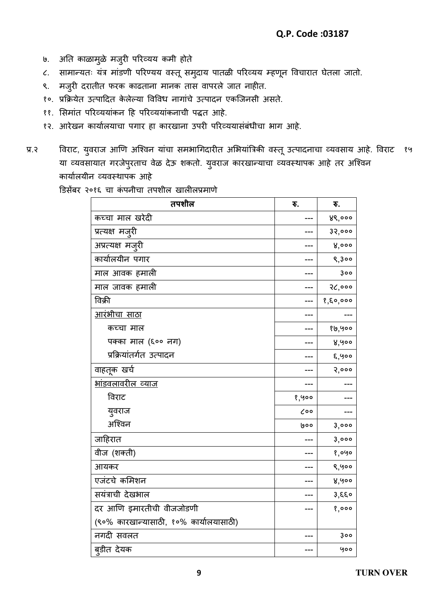- ७. आते काळामुळे मजुरी परिव्यय कमी होते
- ८. सामान्यतः यत्र माडणी परिण्यय वस्तू समुदाय पातळी परिव्यय म्हणून विचारात घेतला जातो.
- ९. मजुरी दरातीत फरक काढताना मानक तास वापरले जात नाहीत.
- ९०. प्रक्रियेत उत्पादित केलेल्या विविध नागाचे उत्पादन एकजिनसी असते.
- ११. सिमात परिव्ययाकन हि परिव्ययाकनाची पद्धत आहे.
- १२. आरेखन कार्यालयाचा पंगार हा कारखाना उपरी परिव्ययासंबंधीचा भाग आहे.
- प्र.२ विराट, युवराज आणि अश्विन याचा समभागिदारीत अभियात्रिकी वस्तू उत्पादनाचा व्यवसाय आहे. विराट १५ या व्यवसायात गरजेपुरताच वेळ देऊ शकतो. युवराज कारखान्याचा व्यवस्थापक आहे तर अश्विन कार्यालयीन व्यवस्थापक आहे

डिसेंबर २०१६ चा कंपनीचा तपशील खालीलप्रमाणे

| तपशील                                  | ₹.               | ₹.         |
|----------------------------------------|------------------|------------|
| कच्चा माल खरेदी                        |                  | ४९,०००     |
| प्रत्यक्ष मजुरी                        |                  | ३२,०००     |
| अप्रत्यक्ष मजुरी                       |                  | 8,000      |
| कार्यालयीन पगार                        |                  | 9,300      |
| माल आवक हमाली                          |                  | 300        |
| माल जावक हमाली                         |                  | २८,०००     |
| विक्री                                 |                  | 8, 80, 000 |
| <u>आरंभीचा साठा</u>                    |                  |            |
| कच्चा माल                              |                  | १७,५००     |
| पक्का माल (६०० नग)                     |                  | ४,५००      |
| प्रक्रियांतर्गत उत्पादन                |                  | ६,५००      |
| वाहतूक खर्च                            |                  | 3,000      |
| <u> भांडवलावरील व्याज</u>              |                  |            |
| विराट                                  | 8,900            |            |
| युवराज                                 | $\mathcal{C}$ 00 |            |
| अश्विन                                 | ७००              | 3,000      |
| जाहिरात                                |                  | 3,000      |
| वीज (शक्ती)                            |                  | १,०५०      |
| आयकर                                   |                  | ९,५००      |
| एजंटचे कमिशन                           |                  | ४,५००      |
| सयंत्राची देखभाल                       |                  | 3,550      |
| दर आणि इमारतीची वीजजोडणी               |                  | 8,000      |
| (९०% कारखान्यासाठी, १०% कार्यालयासाठी) |                  |            |
| नगदी सवलत                              |                  | 300        |
| ब्डीत देयक                             |                  | 900        |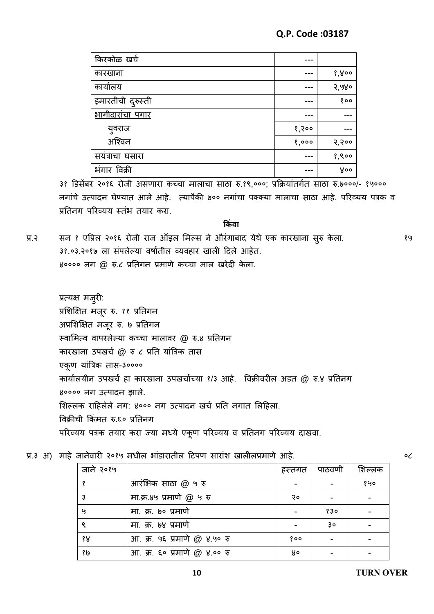| किरकोळ खर्च       |       |       |
|-------------------|-------|-------|
| कारखाना           |       | १,४०० |
| कार्यालय          |       | २,५४० |
| इमारतीची दुरुस्ती |       | 800   |
| भागीदारांचा पगार  |       |       |
| युवराज            | १,२०० |       |
| अश्विन            | 8,000 | 3,300 |
| सयंत्राचा घसारा   |       | 8,800 |
| भंगार विक्री      |       | ४००   |

३१ डिसेंबर २०१६ रोजी असणारा कच्चा मालाचा साठा रु.१९,०००; प्रक्रियांतर्गत साठा रु.७०००/- १५००० नगांचे उत्पादन घेण्यात आले आहे. त्यापैकी ७०० नगांचा पक्क्या मालाचा साठा आहे. परिव्यय पत्रक व प्रतिनग परिव्यय स्तंभ तयार करा.

### **क िंवा**

प्र.२ सन १ एप्रिल २०१६ रोजी राज ऑइल मिल्स ने औरंगाबाद येथे एक कारखाना सुरु केला. ३१.०३.२०१७ ला संपलेल्या वर्षातील व्यवहार खाली दिले आहेत. ४०००० नग @ रु.८ प्रतिगन प्रमाणे कच्चा माल खरेदी केला.

प्रत्यक्ष मजुिी: प्रशिक्षित मजूर रु. ११ प्रतिगन अप्रशिक्षित मजूर रु. ७ प्रतिगन स्वामित्व वापरलेल्या कच्चा मालावर @ रु.४ प्रतिगन कारखाना उपखर्च @ रु ८ प्रति यांत्रिक तास एकूण याांत्रत्रक तास-३०००० कार्यालयीन उपखर्च हा कारखाना उपखर्चाच्या १/३ आहे. विक्रीवरील अडत @ रु.४ प्रतिनग ४०००० नग उत्पादन झाले. शिल्लक राहिलेले नग: ४००० नग उत्पादन खर्च प्रति नगात लिहिला. विक्रीची क्रकांमत ǽ.६० प्रनतनर् परिव्यय पत्रक तयार करा ज्या मध्ये एकूण परिव्यय व प्रतिनग परिव्यय दाखवा.

प्र.३ अ) माहे जानेवारी २०१५ मधील भांडारातील टिपण सारांश खालीलप्रमाणे आहे.

| जाने २०१५ |                              | हस्तगत | पाठवणी | शिल्लक |
|-----------|------------------------------|--------|--------|--------|
| १         | आरंभिक साठा @ ५ रु           |        |        | १५०    |
| 3         | मा.क्र.४५ प्रमाणे @ ५ रु     | २०     |        |        |
| y         | मा. क्र. ७० प्रमाणे          |        | 830    |        |
| ୧         | मा. क्र. ७४ प्रमाणे          |        | 3o     |        |
| १४        | आ. क्र. ५६ प्रमाणे @ ४.५० रु | १००    |        |        |
| १७        | आ. क्र. ६० प्रमाणे @ ४.०० रु | ४०     |        |        |

०८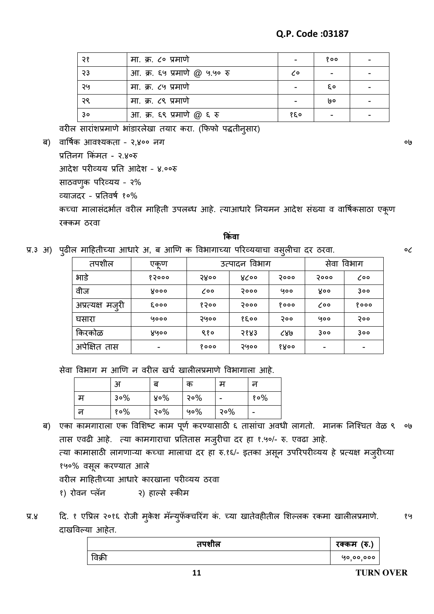| २१ | मा. क्र. ८० प्रमाणे          |                            | १०० |  |
|----|------------------------------|----------------------------|-----|--|
| 53 | आ. क्र. ६५ प्रमाणे @ ५.५० रु | $\mathcal{L}^{\mathsf{o}}$ |     |  |
| २५ | मा. क्र. ८५ प्रमाणे          |                            | εo  |  |
| २९ | मा. क्र. ८९ प्रमाणे          |                            | l90 |  |
| 3o | आ. क्र. ६९ प्रमाणे @ ६ रु    | १६०                        |     |  |

वरील सारांशप्रमाणे भांडारलेखा तयार करा. (फिफो पद्धतीनुसार)

ब) वार्षिक आवश्यकता - २,४०० नग

प्रनतनर् क्रकांमत - २.४०ǽ आदेश परीव्यय प्रति आदेश - ४.००रु साठवणुक परिव्यय - २% व्याजिि – प्रनतिषव १०% कच्चा मालासंदर्भात वरील माहिती उपलब्ध आहे. त्याआधारे नियमन आदेश संख्या व वार्षिकसाठा एकूण रक्कम ठरवा **क िंवा**

प्र.३ अ) पुढील माहितीच्या आधारे अ, ब आणि क विभागाच्या परिव्ययाचा वसुलीचा दर ठरवा.

०८

०७

| तपशील            | एकूण                      | उत्पादन विभाग |      | $\cdot$ av even<br>विभाग<br>सेवा |                  |                  |
|------------------|---------------------------|---------------|------|----------------------------------|------------------|------------------|
| भाडे             | १२०००                     | Shoo          | ४८०० | २०००                             | २०००             | $\mathcal{L}$ 00 |
| वीज              | Xooo                      | $\lambda$ 00  | २००० | ५००                              | <b>Yoo</b>       | 300              |
| अप्रत्यक्ष मजुरी | <b><i><u>Cooo</u></i></b> | १२००          | २००० | १०००                             | $\mathcal{L}$ 00 | १०००             |
| घसारा            | 9000                      | २५००          | १६०० | २००                              | ५००              | २००              |
| किरकोळ           | ४५००                      | ९१०           | 5883 | ८४७                              | 300              | 300              |
| अपेक्षित तास     |                           | १०००          | २५०० | १४००                             | -                |                  |

सेवा विभाग म आणि न वरील खर्च खालीलप्रमाणे विभागाला आहे.

|    | अ   | ਕ   | क      | म                        | न   |
|----|-----|-----|--------|--------------------------|-----|
| म  | 3०% | ४०% | 30%    | $\overline{\phantom{a}}$ | १०% |
| ून | १०% | 30% | $90\%$ | 30%                      | -   |

ब) एका कामगाराला एक विशिष्ट काम पूर्ण करण्यासाठी ६ तासाचा अवधी लागतो. मानक निश्चित वेळ ९ ०७ तास एवढी आहे. त्या कामगाराचा प्रतितास मजुरीचा दर हा १.५०/- रु. एवढा आहे. त्या कामासाठी लागणाऱ्या कच्चा मालाचा दर हा रु.१६/- इतका असून उपरिपरीव्यय हे प्रत्यक्ष मजुरीच्या १५०% वसूल करण्यात आले वरील माहितीच्या आधारे कारखाना परीव्यय ठरवा १) रोवन प्लॅन २) हाल्से स्कीम

प्र.४ हि. १ एप्रिल २०१६ रोजी मुकेश मॅन्युफॅक्चरिंग कं. च्या खातेवहीतील शिल्लक रकमा खालीलप्रमाणे. दाखविल्या आहेत. १५

| तपशील  | रक्कम (रु.) |
|--------|-------------|
| विक्री | ५०,००,०००   |
|        |             |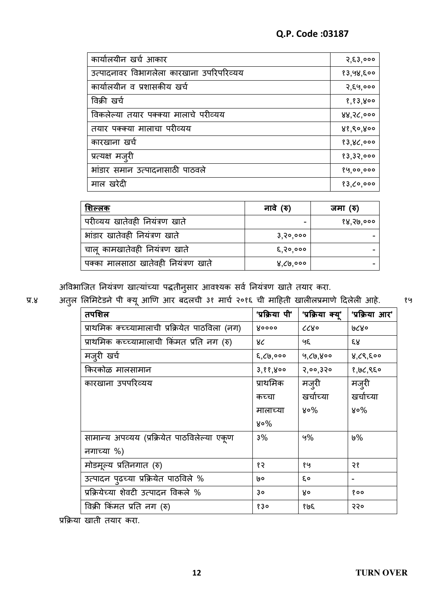| कार्यालयीन खर्च आकार                     | 3,83,000  |
|------------------------------------------|-----------|
| उत्पादनावर विभागलेला कारखाना उपरिपरिव्यय | १३,५४,६०० |
| कार्यालयीन व प्रशासकीय खर्च              | २,६५,०००  |
| विक्री खर्च                              | 8,83,800  |
| विकलेल्या तयार पक्क्या मालाचे परीव्यय    | 88,36,000 |
| तयार पक्क्या मालाचा परीव्यय              | ४१,९०,४०० |
| कारखाना खर्च                             | 83,86,000 |
| प्रत्यक्ष मजुरी                          | १३,३२,००० |
| भांडार समान उत्पादनासाठी पाठवले          | 89,00,000 |
| माल खरेदी                                | १३,८०,००० |

| नावे (रु)  | जमा (रु)  |
|------------|-----------|
|            | १४,२७,००० |
| 3, 30, 000 |           |
| 8,90,000   |           |
| ४,८७,०००   |           |
|            |           |

अविभाजित नियंत्रण खात्यांच्या पद्धतीनुसार आवश्यक सर्व नियंत्रण खाते तयार करा.

प्र.४ अतुल लिमिटेडने पी क्यू आणि आर बदलची ३१ मार्च २०१६ ची माहिती खालीलप्रमाणे दिलेली आहे.

१५

| तपशिल                                           | 'प्रक्रिया पी' | 'प्रक्रिया क्य्' | 'प्रक्रिया आर' |
|-------------------------------------------------|----------------|------------------|----------------|
| प्राथमिक क्च्च्यामालाची प्रक्रियेत पाठविला (नग) | <b>Yoooo</b>   | ८८४०             | 9829           |
| प्राथमिक कच्च्यामालाची किंमत प्रति नग (रु)      | ४८             | ५६               | ६४             |
| मजुरी खर्च                                      | 8,69,000       | 9,69,800         | ४,८९,६००       |
| किरकोळ मालसामान                                 | 3,88,800       | 3'00'350         | १,७८,९६०       |
| कारखाना उपपरिव्यय                               | प्राथमिक       | मजूरी            | मज़्री         |
|                                                 | कच्चा          | खर्चाच्या        | खर्चाच्या      |
|                                                 | मालाच्या       | ४०%              | ४०%            |
|                                                 | ४०%            |                  |                |
| सामान्य अपव्यय (प्रक्रियेत पाठविलेल्या एकुण     | 3%             | 9%               | %ט             |
| नगाच्या %)                                      |                |                  |                |
| मोडमूल्य प्रतिनगात (रु)                         | १२             | १५               | २१             |
| उत्पादन पढच्या प्रक्रियेत पाठविले %             | l9 O           | ξo               |                |
| प्रक्रियेच्या शेवटी उत्पादन विकले %             | 30             | Xо               | १००            |
| विक्री किंमत प्रति नग (रु)                      | १३०            | १७६              | २२०            |
|                                                 |                |                  |                |

प्रक्रिया खाती तयार करा.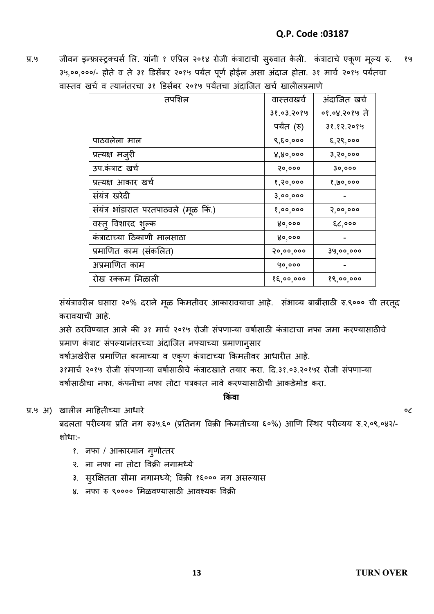प्र.५ जीवन इन्फ्रास्ट्रक्चर्स लि. यांनी १ एप्रिल २०१४ रोजी कंत्राटाची सुरुवात केली. कंत्राटाचे एकूण मूल्य रु. ३५,००,०००/- होते व ते ३१ डिसेंबर २०१५ पर्यंत पूर्ण होईल असा अंदाज होता. ३१ मार्च २०१५ पर्यंतचा वास्तव खर्च व त्यानंतरचा ३१ डिसेंबर २०१५ पर्यंतचा अंदाजित खर्च खालीलप्रमाणे १५

| तपशिल                                | वास्तवखर्च  | अंदाजित खर्च  |
|--------------------------------------|-------------|---------------|
|                                      | 38.03.2084  | ०१.०४.२०१५ ते |
|                                      | पर्यंत (रु) | ३१.१२.२०१५    |
| पाठवलेला माल                         | ९,६०,०००    | ६,२९,०००      |
| प्रत्यक्ष मजुरी                      | 8,80,000    | 3, 30, 000    |
| उप.कंत्राट खर्च                      | २०,०००      | ३०,०००        |
| प्रत्यक्ष आकार खर्च                  | १,२०,०००    | १,७०,०००      |
| संयंत्र खरेदी                        | 3,00,000    |               |
| संयंत्र भांडारात परतपाठवले (मूळ कि.) | 8,00,000    | २,००,०००      |
| वस्त् विशारद शुल्क                   | ४०,०००      | $g0$ ,000     |
| कंत्राटाच्या ठिकाणी मालसाठा          | ४०,०००      |               |
| प्रमाणित काम (संकलित)                | २०,००,०००   | ३५,००,०००     |
| अप्रमाणित काम                        | ५०,०००      |               |
| रोख रक्कम मिळाली                     | १६,००,०००   | १९,००,०००     |

संयंत्रावरील घसारा २०% दराने मूळ किमतीवर आकारावयाचा आहे. संभाव्य बाबींसाठी रु.९००० ची तरतूद करावयाची आहे.

असे ठरविण्यात आले की ३१ मार्च २०१५ रोजी संपणाऱ्या वर्षासाठी कंत्राटाचा नफा जमा करण्यासाठीचे प्रमाण कंत्राट संपल्यानंतरच्या अंदाजित नफ्याच्या प्रमाणानुसार

वर्षाअखेरीस प्रमाणित कामाच्या व एकूण कंत्राटाच्या किमतीवर आधारीत आहे.

३१मार्च २०१५ रोजी संपणाऱ्या वर्षासाठीचे कंत्राटखाते तयार करा. दि.३१.०३.२०१५र रोजी संपणाऱ्या वर्षासाठीचा नफा, कंपनीचा नफा तोटा पत्रकात नावे करण्यासाठीची आकडेमोड करा.

**क िंवा**

प्र.५ अ) खालील माहितीच्या आधारे

बदलता परीव्यय प्रति नग रु३५.६० (प्रतिनग विक्री किमतीच्या ६०%) आणि स्थिर परीव्यय रु.२,०९,०४२/-शोधा:-

- १. नफा / आकारमान गुणोत्तर
- २. ना नफा ना तोटा विक्री नगामध्ये
- ३. सुरक्षितता सीमा नगामध्ये; विक्री १६००० नग असल्यास
- ४. नफा रु ९०००० मिळवण्यासाठी आवश्यक विक्री